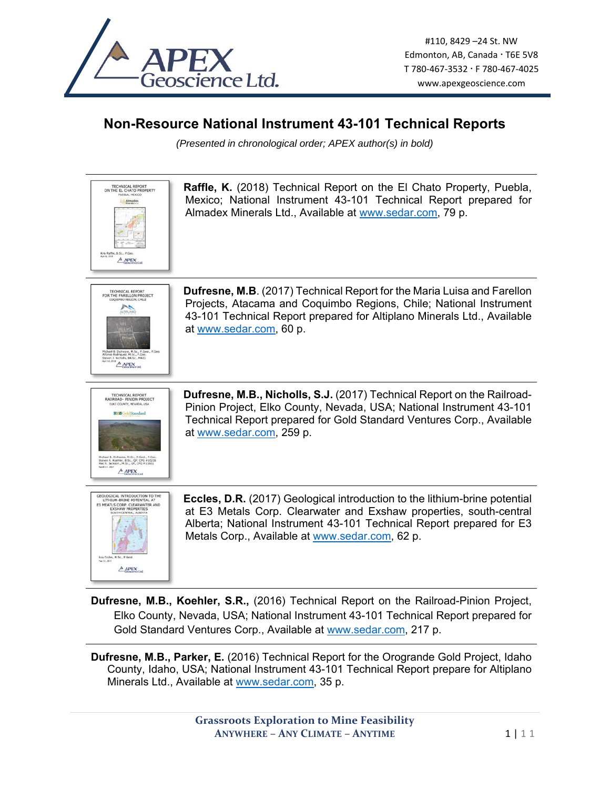

## **Non-Resource National Instrument 43-101 Technical Reports**

*(Presented in chronological order; APEX author(s) in bold)* 



**Dufresne, M.B., Koehler, S.R.,** (2016) Technical Report on the Railroad-Pinion Project, Elko County, Nevada, USA; National Instrument 43-101 Technical Report prepared for Gold Standard Ventures Corp., Available at www.sedar.com, 217 p.

**Dufresne, M.B., Parker, E.** (2016) Technical Report for the Orogrande Gold Project, Idaho County, Idaho, USA; National Instrument 43-101 Technical Report prepare for Altiplano Minerals Ltd., Available at www.sedar.com, 35 p.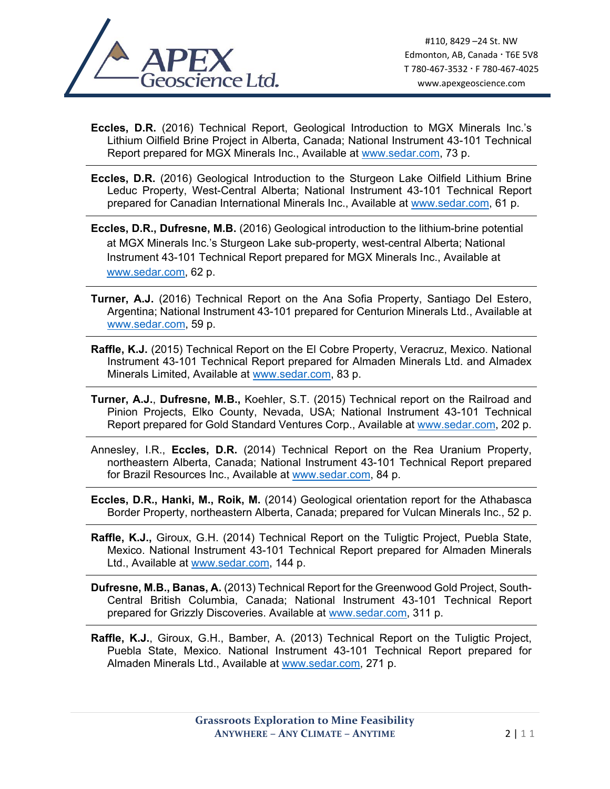

- **Eccles, D.R.** (2016) Technical Report, Geological Introduction to MGX Minerals Inc.'s Lithium Oilfield Brine Project in Alberta, Canada; National Instrument 43-101 Technical Report prepared for MGX Minerals Inc., Available at www.sedar.com, 73 p.
- **Eccles, D.R.** (2016) Geological Introduction to the Sturgeon Lake Oilfield Lithium Brine Leduc Property, West-Central Alberta; National Instrument 43-101 Technical Report prepared for Canadian International Minerals Inc., Available at www.sedar.com, 61 p.
- **Eccles, D.R., Dufresne, M.B.** (2016) Geological introduction to the lithium-brine potential at MGX Minerals Inc.'s Sturgeon Lake sub-property, west-central Alberta; National Instrument 43-101 Technical Report prepared for MGX Minerals Inc., Available at www.sedar.com, 62 p.
- **Turner, A.J.** (2016) Technical Report on the Ana Sofia Property, Santiago Del Estero, Argentina; National Instrument 43-101 prepared for Centurion Minerals Ltd., Available at www.sedar.com, 59 p.
- **Raffle, K.J.** (2015) Technical Report on the El Cobre Property, Veracruz, Mexico. National Instrument 43-101 Technical Report prepared for Almaden Minerals Ltd. and Almadex Minerals Limited, Available at www.sedar.com, 83 p.
- **Turner, A.J.**, **Dufresne, M.B.,** Koehler, S.T. (2015) Technical report on the Railroad and Pinion Projects, Elko County, Nevada, USA; National Instrument 43-101 Technical Report prepared for Gold Standard Ventures Corp., Available at www.sedar.com, 202 p.
- Annesley, I.R., **Eccles, D.R.** (2014) Technical Report on the Rea Uranium Property, northeastern Alberta, Canada; National Instrument 43-101 Technical Report prepared for Brazil Resources Inc., Available at www.sedar.com, 84 p.
- **Eccles, D.R., Hanki, M., Roik, M.** (2014) Geological orientation report for the Athabasca Border Property, northeastern Alberta, Canada; prepared for Vulcan Minerals Inc., 52 p.
- **Raffle, K.J.,** Giroux, G.H. (2014) Technical Report on the Tuligtic Project, Puebla State, Mexico. National Instrument 43-101 Technical Report prepared for Almaden Minerals Ltd., Available at www.sedar.com, 144 p.
- **Dufresne, M.B., Banas, A.** (2013) Technical Report for the Greenwood Gold Project, South-Central British Columbia, Canada; National Instrument 43-101 Technical Report prepared for Grizzly Discoveries. Available at www.sedar.com, 311 p.
- **Raffle, K.J.**, Giroux, G.H., Bamber, A. (2013) Technical Report on the Tuligtic Project, Puebla State, Mexico. National Instrument 43-101 Technical Report prepared for Almaden Minerals Ltd., Available at www.sedar.com, 271 p.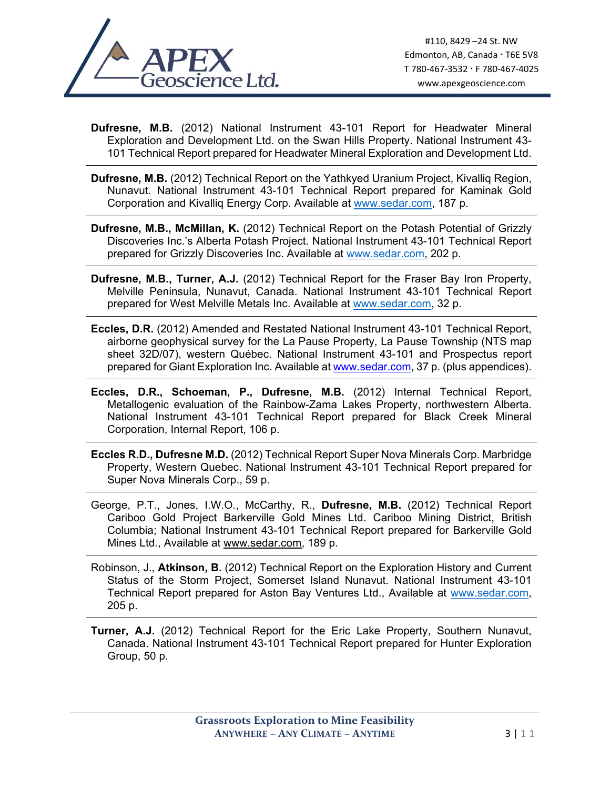

**Dufresne, M.B.** (2012) National Instrument 43-101 Report for Headwater Mineral Exploration and Development Ltd. on the Swan Hills Property. National Instrument 43- 101 Technical Report prepared for Headwater Mineral Exploration and Development Ltd.

- **Dufresne, M.B.** (2012) Technical Report on the Yathkyed Uranium Project, Kivalliq Region, Nunavut. National Instrument 43-101 Technical Report prepared for Kaminak Gold Corporation and Kivalliq Energy Corp. Available at www.sedar.com, 187 p.
- **Dufresne, M.B., McMillan, K.** (2012) Technical Report on the Potash Potential of Grizzly Discoveries Inc.'s Alberta Potash Project. National Instrument 43-101 Technical Report prepared for Grizzly Discoveries Inc. Available at www.sedar.com, 202 p.
- **Dufresne, M.B., Turner, A.J.** (2012) Technical Report for the Fraser Bay Iron Property, Melville Peninsula, Nunavut, Canada. National Instrument 43-101 Technical Report prepared for West Melville Metals Inc. Available at www.sedar.com, 32 p.
- **Eccles, D.R.** (2012) Amended and Restated National Instrument 43-101 Technical Report, airborne geophysical survey for the La Pause Property, La Pause Township (NTS map sheet 32D/07), western Québec. National Instrument 43-101 and Prospectus report prepared for Giant Exploration Inc. Available at www.sedar.com, 37 p. (plus appendices).
- **Eccles, D.R., Schoeman, P., Dufresne, M.B.** (2012) Internal Technical Report, Metallogenic evaluation of the Rainbow-Zama Lakes Property, northwestern Alberta. National Instrument 43-101 Technical Report prepared for Black Creek Mineral Corporation, Internal Report, 106 p.
- **Eccles R.D., Dufresne M.D.** (2012) Technical Report Super Nova Minerals Corp. Marbridge Property, Western Quebec. National Instrument 43-101 Technical Report prepared for Super Nova Minerals Corp., 59 p.
- George, P.T., Jones, I.W.O., McCarthy, R., **Dufresne, M.B.** (2012) Technical Report Cariboo Gold Project Barkerville Gold Mines Ltd. Cariboo Mining District, British Columbia; National Instrument 43-101 Technical Report prepared for Barkerville Gold Mines Ltd., Available at www.sedar.com, 189 p.
- Robinson, J., **Atkinson, B.** (2012) Technical Report on the Exploration History and Current Status of the Storm Project, Somerset Island Nunavut. National Instrument 43-101 Technical Report prepared for Aston Bay Ventures Ltd., Available at www.sedar.com, 205 p.
- **Turner, A.J.** (2012) Technical Report for the Eric Lake Property, Southern Nunavut, Canada. National Instrument 43-101 Technical Report prepared for Hunter Exploration Group, 50 p.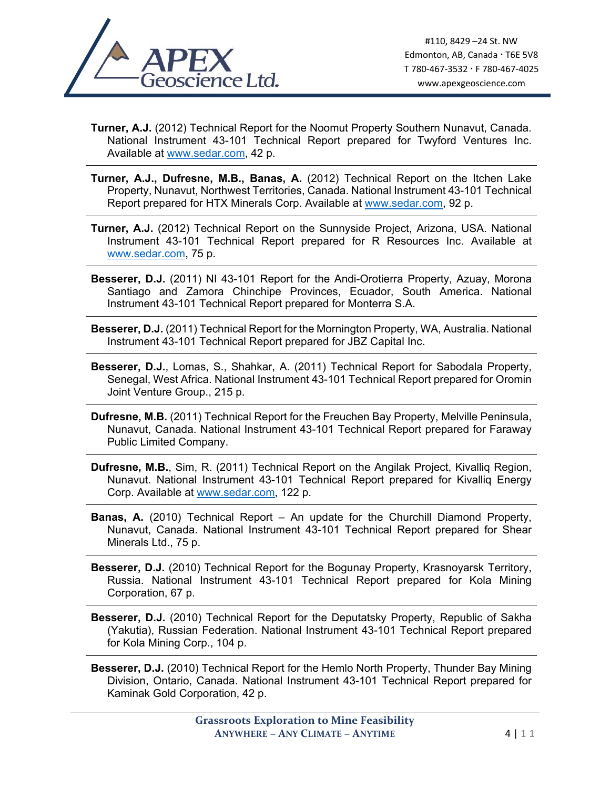

**Turner, A.J.** (2012) Technical Report for the Noomut Property Southern Nunavut, Canada. National Instrument 43-101 Technical Report prepared for Twyford Ventures Inc. Available at www.sedar.com, 42 p.

- **Turner, A.J., Dufresne, M.B., Banas, A.** (2012) Technical Report on the Itchen Lake Property, Nunavut, Northwest Territories, Canada. National Instrument 43-101 Technical Report prepared for HTX Minerals Corp. Available at www.sedar.com, 92 p.
- **Turner, A.J.** (2012) Technical Report on the Sunnyside Project, Arizona, USA. National Instrument 43-101 Technical Report prepared for R Resources Inc. Available at www.sedar.com, 75 p.
- **Besserer, D.J.** (2011) NI 43-101 Report for the Andi-Orotierra Property, Azuay, Morona Santiago and Zamora Chinchipe Provinces, Ecuador, South America. National Instrument 43-101 Technical Report prepared for Monterra S.A.
- **Besserer, D.J.** (2011) Technical Report for the Mornington Property, WA, Australia. National Instrument 43-101 Technical Report prepared for JBZ Capital Inc.
- **Besserer, D.J.**, Lomas, S., Shahkar, A. (2011) Technical Report for Sabodala Property, Senegal, West Africa. National Instrument 43-101 Technical Report prepared for Oromin Joint Venture Group., 215 p.
- **Dufresne, M.B.** (2011) Technical Report for the Freuchen Bay Property, Melville Peninsula, Nunavut, Canada. National Instrument 43-101 Technical Report prepared for Faraway Public Limited Company.
- **Dufresne, M.B.**, Sim, R. (2011) Technical Report on the Angilak Project, Kivalliq Region, Nunavut. National Instrument 43-101 Technical Report prepared for Kivalliq Energy Corp. Available at www.sedar.com, 122 p.
- **Banas, A.** (2010) Technical Report An update for the Churchill Diamond Property, Nunavut, Canada. National Instrument 43-101 Technical Report prepared for Shear Minerals Ltd., 75 p.
- **Besserer, D.J.** (2010) Technical Report for the Bogunay Property, Krasnoyarsk Territory, Russia. National Instrument 43-101 Technical Report prepared for Kola Mining Corporation, 67 p.
- **Besserer, D.J.** (2010) Technical Report for the Deputatsky Property, Republic of Sakha (Yakutia), Russian Federation. National Instrument 43-101 Technical Report prepared for Kola Mining Corp., 104 p.
- **Besserer, D.J.** (2010) Technical Report for the Hemlo North Property, Thunder Bay Mining Division, Ontario, Canada. National Instrument 43-101 Technical Report prepared for Kaminak Gold Corporation, 42 p.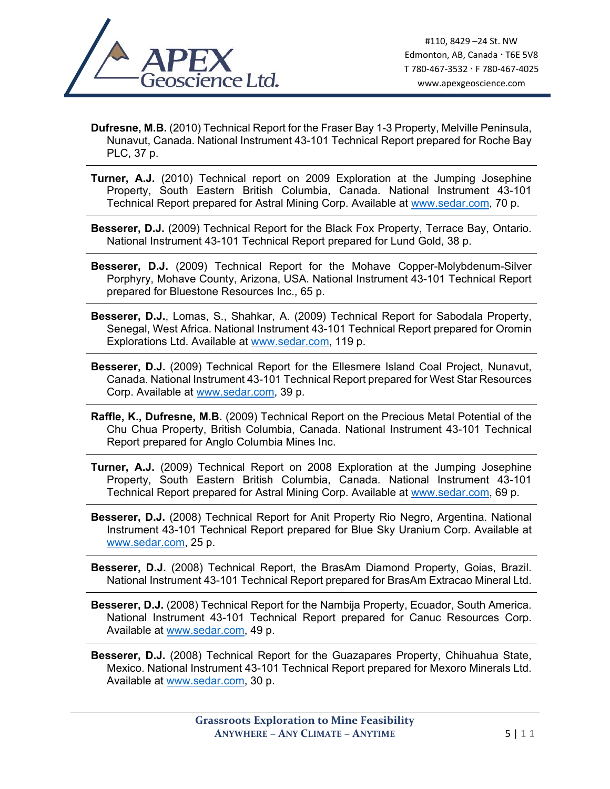

**Dufresne, M.B.** (2010) Technical Report for the Fraser Bay 1-3 Property, Melville Peninsula, Nunavut, Canada. National Instrument 43-101 Technical Report prepared for Roche Bay PLC, 37 p.

**Turner, A.J.** (2010) Technical report on 2009 Exploration at the Jumping Josephine Property, South Eastern British Columbia, Canada. National Instrument 43-101 Technical Report prepared for Astral Mining Corp. Available at www.sedar.com, 70 p.

**Besserer, D.J.** (2009) Technical Report for the Black Fox Property, Terrace Bay, Ontario. National Instrument 43-101 Technical Report prepared for Lund Gold, 38 p.

- **Besserer, D.J.** (2009) Technical Report for the Mohave Copper-Molybdenum-Silver Porphyry, Mohave County, Arizona, USA. National Instrument 43-101 Technical Report prepared for Bluestone Resources Inc., 65 p.
- **Besserer, D.J.**, Lomas, S., Shahkar, A. (2009) Technical Report for Sabodala Property, Senegal, West Africa. National Instrument 43-101 Technical Report prepared for Oromin Explorations Ltd. Available at www.sedar.com, 119 p.
- **Besserer, D.J.** (2009) Technical Report for the Ellesmere Island Coal Project, Nunavut, Canada. National Instrument 43-101 Technical Report prepared for West Star Resources Corp. Available at www.sedar.com, 39 p.
- **Raffle, K., Dufresne, M.B.** (2009) Technical Report on the Precious Metal Potential of the Chu Chua Property, British Columbia, Canada. National Instrument 43-101 Technical Report prepared for Anglo Columbia Mines Inc.
- **Turner, A.J.** (2009) Technical Report on 2008 Exploration at the Jumping Josephine Property, South Eastern British Columbia, Canada. National Instrument 43-101 Technical Report prepared for Astral Mining Corp. Available at www.sedar.com, 69 p.
- **Besserer, D.J.** (2008) Technical Report for Anit Property Rio Negro, Argentina. National Instrument 43-101 Technical Report prepared for Blue Sky Uranium Corp. Available at www.sedar.com, 25 p.

**Besserer, D.J.** (2008) Technical Report, the BrasAm Diamond Property, Goias, Brazil. National Instrument 43-101 Technical Report prepared for BrasAm Extracao Mineral Ltd.

**Besserer, D.J.** (2008) Technical Report for the Nambija Property, Ecuador, South America. National Instrument 43-101 Technical Report prepared for Canuc Resources Corp. Available at www.sedar.com, 49 p.

**Besserer, D.J.** (2008) Technical Report for the Guazapares Property, Chihuahua State, Mexico. National Instrument 43-101 Technical Report prepared for Mexoro Minerals Ltd. Available at www.sedar.com, 30 p.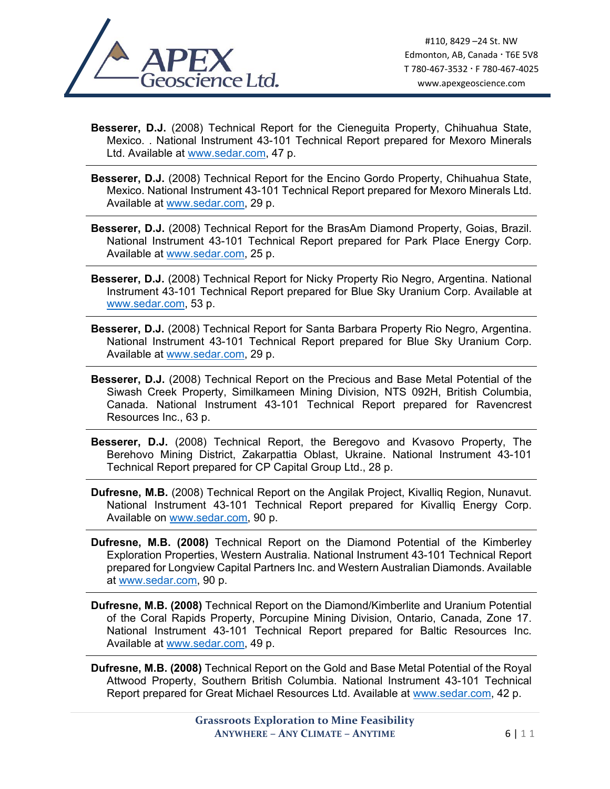

**Besserer, D.J.** (2008) Technical Report for the Cieneguita Property, Chihuahua State, Mexico. . National Instrument 43-101 Technical Report prepared for Mexoro Minerals Ltd. Available at www.sedar.com, 47 p.

- **Besserer, D.J.** (2008) Technical Report for the Encino Gordo Property, Chihuahua State, Mexico. National Instrument 43-101 Technical Report prepared for Mexoro Minerals Ltd. Available at www.sedar.com, 29 p.
- **Besserer, D.J.** (2008) Technical Report for the BrasAm Diamond Property, Goias, Brazil. National Instrument 43-101 Technical Report prepared for Park Place Energy Corp. Available at www.sedar.com, 25 p.
- **Besserer, D.J.** (2008) Technical Report for Nicky Property Rio Negro, Argentina. National Instrument 43-101 Technical Report prepared for Blue Sky Uranium Corp. Available at www.sedar.com, 53 p.
- **Besserer, D.J.** (2008) Technical Report for Santa Barbara Property Rio Negro, Argentina. National Instrument 43-101 Technical Report prepared for Blue Sky Uranium Corp. Available at www.sedar.com, 29 p.
- **Besserer, D.J.** (2008) Technical Report on the Precious and Base Metal Potential of the Siwash Creek Property, Similkameen Mining Division, NTS 092H, British Columbia, Canada. National Instrument 43-101 Technical Report prepared for Ravencrest Resources Inc., 63 p.
- **Besserer, D.J.** (2008) Technical Report, the Beregovo and Kvasovo Property, The Berehovo Mining District, Zakarpattia Oblast, Ukraine. National Instrument 43-101 Technical Report prepared for CP Capital Group Ltd., 28 p.
- **Dufresne, M.B.** (2008) Technical Report on the Angilak Project, Kivalliq Region, Nunavut. National Instrument 43-101 Technical Report prepared for Kivalliq Energy Corp. Available on www.sedar.com, 90 p.
- **Dufresne, M.B. (2008)** Technical Report on the Diamond Potential of the Kimberley Exploration Properties, Western Australia. National Instrument 43-101 Technical Report prepared for Longview Capital Partners Inc. and Western Australian Diamonds. Available at www.sedar.com, 90 p.
- **Dufresne, M.B. (2008)** Technical Report on the Diamond/Kimberlite and Uranium Potential of the Coral Rapids Property, Porcupine Mining Division, Ontario, Canada, Zone 17. National Instrument 43-101 Technical Report prepared for Baltic Resources Inc. Available at www.sedar.com, 49 p.

**Dufresne, M.B. (2008)** Technical Report on the Gold and Base Metal Potential of the Royal Attwood Property, Southern British Columbia. National Instrument 43-101 Technical Report prepared for Great Michael Resources Ltd. Available at www.sedar.com, 42 p.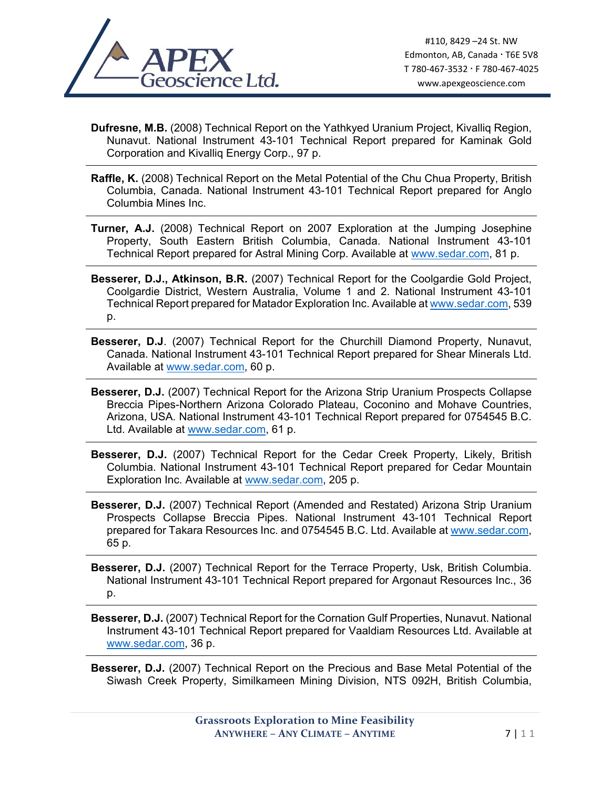

**Dufresne, M.B.** (2008) Technical Report on the Yathkyed Uranium Project, Kivalliq Region, Nunavut. National Instrument 43-101 Technical Report prepared for Kaminak Gold Corporation and Kivalliq Energy Corp., 97 p.

- **Raffle, K.** (2008) Technical Report on the Metal Potential of the Chu Chua Property, British Columbia, Canada. National Instrument 43-101 Technical Report prepared for Anglo Columbia Mines Inc.
- **Turner, A.J.** (2008) Technical Report on 2007 Exploration at the Jumping Josephine Property, South Eastern British Columbia, Canada. National Instrument 43-101 Technical Report prepared for Astral Mining Corp. Available at www.sedar.com, 81 p.
- **Besserer, D.J., Atkinson, B.R.** (2007) Technical Report for the Coolgardie Gold Project, Coolgardie District, Western Australia, Volume 1 and 2. National Instrument 43-101 Technical Report prepared for Matador Exploration Inc. Available at www.sedar.com, 539 p.
- **Besserer, D.J**. (2007) Technical Report for the Churchill Diamond Property, Nunavut, Canada. National Instrument 43-101 Technical Report prepared for Shear Minerals Ltd. Available at www.sedar.com, 60 p.
- **Besserer, D.J.** (2007) Technical Report for the Arizona Strip Uranium Prospects Collapse Breccia Pipes-Northern Arizona Colorado Plateau, Coconino and Mohave Countries, Arizona, USA. National Instrument 43-101 Technical Report prepared for 0754545 B.C. Ltd. Available at www.sedar.com, 61 p.
- **Besserer, D.J.** (2007) Technical Report for the Cedar Creek Property, Likely, British Columbia. National Instrument 43-101 Technical Report prepared for Cedar Mountain Exploration Inc. Available at www.sedar.com, 205 p.
- **Besserer, D.J.** (2007) Technical Report (Amended and Restated) Arizona Strip Uranium Prospects Collapse Breccia Pipes. National Instrument 43-101 Technical Report prepared for Takara Resources Inc. and 0754545 B.C. Ltd. Available at www.sedar.com, 65 p.
- **Besserer, D.J.** (2007) Technical Report for the Terrace Property, Usk, British Columbia. National Instrument 43-101 Technical Report prepared for Argonaut Resources Inc., 36 p.
- **Besserer, D.J.** (2007) Technical Report for the Cornation Gulf Properties, Nunavut. National Instrument 43-101 Technical Report prepared for Vaaldiam Resources Ltd. Available at www.sedar.com, 36 p.

**Besserer, D.J.** (2007) Technical Report on the Precious and Base Metal Potential of the Siwash Creek Property, Similkameen Mining Division, NTS 092H, British Columbia,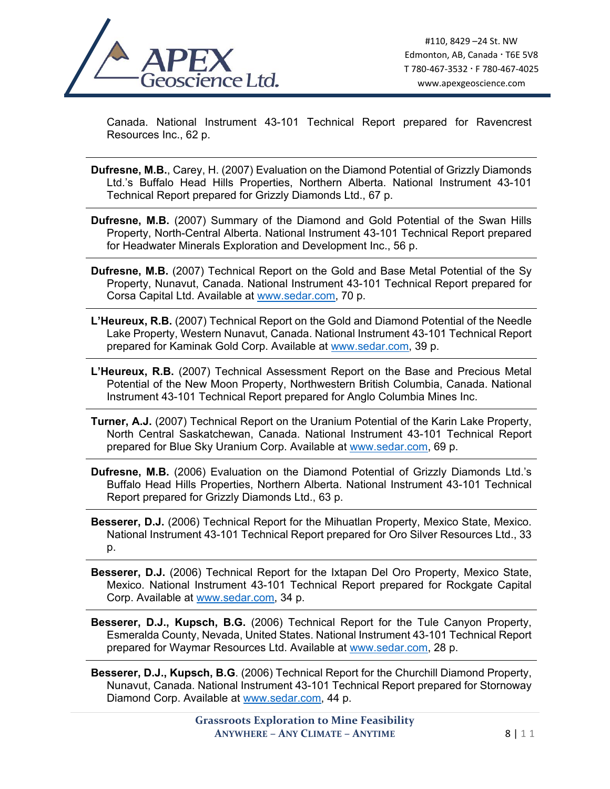

Canada. National Instrument 43-101 Technical Report prepared for Ravencrest Resources Inc., 62 p.

**Dufresne, M.B.**, Carey, H. (2007) Evaluation on the Diamond Potential of Grizzly Diamonds Ltd.'s Buffalo Head Hills Properties, Northern Alberta. National Instrument 43-101 Technical Report prepared for Grizzly Diamonds Ltd., 67 p.

- **Dufresne, M.B.** (2007) Summary of the Diamond and Gold Potential of the Swan Hills Property, North-Central Alberta. National Instrument 43-101 Technical Report prepared for Headwater Minerals Exploration and Development Inc., 56 p.
- **Dufresne, M.B.** (2007) Technical Report on the Gold and Base Metal Potential of the Sy Property, Nunavut, Canada. National Instrument 43-101 Technical Report prepared for Corsa Capital Ltd. Available at www.sedar.com, 70 p.
- **L'Heureux, R.B.** (2007) Technical Report on the Gold and Diamond Potential of the Needle Lake Property, Western Nunavut, Canada. National Instrument 43-101 Technical Report prepared for Kaminak Gold Corp. Available at www.sedar.com, 39 p.
- **L'Heureux, R.B.** (2007) Technical Assessment Report on the Base and Precious Metal Potential of the New Moon Property, Northwestern British Columbia, Canada. National Instrument 43-101 Technical Report prepared for Anglo Columbia Mines Inc.
- **Turner, A.J.** (2007) Technical Report on the Uranium Potential of the Karin Lake Property, North Central Saskatchewan, Canada. National Instrument 43-101 Technical Report prepared for Blue Sky Uranium Corp. Available at www.sedar.com, 69 p.
- **Dufresne, M.B.** (2006) Evaluation on the Diamond Potential of Grizzly Diamonds Ltd.'s Buffalo Head Hills Properties, Northern Alberta. National Instrument 43-101 Technical Report prepared for Grizzly Diamonds Ltd., 63 p.
- **Besserer, D.J.** (2006) Technical Report for the Mihuatlan Property, Mexico State, Mexico. National Instrument 43-101 Technical Report prepared for Oro Silver Resources Ltd., 33 p.
- **Besserer, D.J.** (2006) Technical Report for the Ixtapan Del Oro Property, Mexico State, Mexico. National Instrument 43-101 Technical Report prepared for Rockgate Capital Corp. Available at www.sedar.com, 34 p.
- **Besserer, D.J., Kupsch, B.G.** (2006) Technical Report for the Tule Canyon Property, Esmeralda County, Nevada, United States. National Instrument 43-101 Technical Report prepared for Waymar Resources Ltd. Available at www.sedar.com, 28 p.
- **Besserer, D.J., Kupsch, B.G**. (2006) Technical Report for the Churchill Diamond Property, Nunavut, Canada. National Instrument 43-101 Technical Report prepared for Stornoway Diamond Corp. Available at www.sedar.com, 44 p.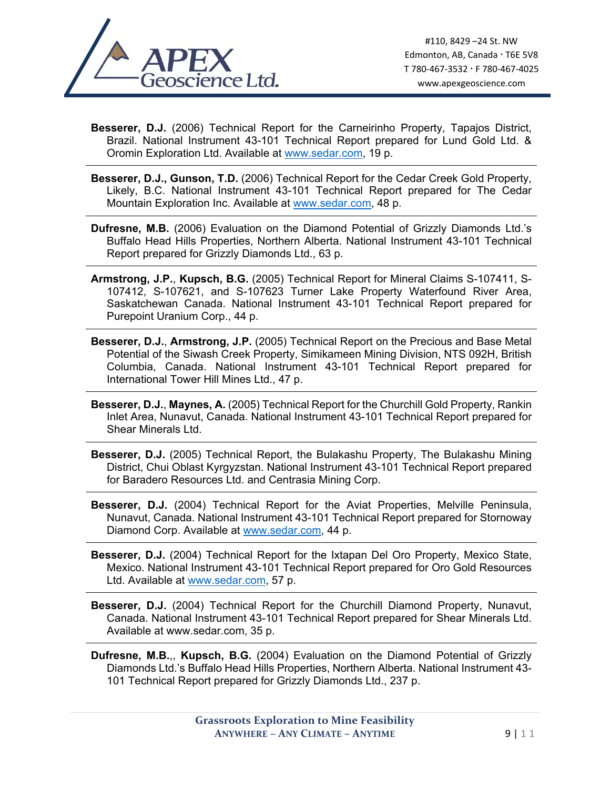

**Besserer, D.J.** (2006) Technical Report for the Carneirinho Property, Tapajos District, Brazil. National Instrument 43-101 Technical Report prepared for Lund Gold Ltd. & Oromin Exploration Ltd. Available at www.sedar.com, 19 p.

- **Besserer, D.J., Gunson, T.D.** (2006) Technical Report for the Cedar Creek Gold Property, Likely, B.C. National Instrument 43-101 Technical Report prepared for The Cedar Mountain Exploration Inc. Available at www.sedar.com, 48 p.
- **Dufresne, M.B.** (2006) Evaluation on the Diamond Potential of Grizzly Diamonds Ltd.'s Buffalo Head Hills Properties, Northern Alberta. National Instrument 43-101 Technical Report prepared for Grizzly Diamonds Ltd., 63 p.
- **Armstrong, J.P.**, **Kupsch, B.G.** (2005) Technical Report for Mineral Claims S-107411, S-107412, S-107621, and S-107623 Turner Lake Property Waterfound River Area, Saskatchewan Canada. National Instrument 43-101 Technical Report prepared for Purepoint Uranium Corp., 44 p.
- **Besserer, D.J.**, **Armstrong, J.P.** (2005) Technical Report on the Precious and Base Metal Potential of the Siwash Creek Property, Simikameen Mining Division, NTS 092H, British Columbia, Canada. National Instrument 43-101 Technical Report prepared for International Tower Hill Mines Ltd., 47 p.
- **Besserer, D.J.**, **Maynes, A.** (2005) Technical Report for the Churchill Gold Property, Rankin Inlet Area, Nunavut, Canada. National Instrument 43-101 Technical Report prepared for Shear Minerals Ltd.
- **Besserer, D.J.** (2005) Technical Report, the Bulakashu Property, The Bulakashu Mining District, Chui Oblast Kyrgyzstan. National Instrument 43-101 Technical Report prepared for Baradero Resources Ltd. and Centrasia Mining Corp.
- **Besserer, D.J.** (2004) Technical Report for the Aviat Properties, Melville Peninsula, Nunavut, Canada. National Instrument 43-101 Technical Report prepared for Stornoway Diamond Corp. Available at www.sedar.com, 44 p.
- **Besserer, D.J.** (2004) Technical Report for the Ixtapan Del Oro Property, Mexico State, Mexico. National Instrument 43-101 Technical Report prepared for Oro Gold Resources Ltd. Available at www.sedar.com, 57 p.
- **Besserer, D.J.** (2004) Technical Report for the Churchill Diamond Property, Nunavut, Canada. National Instrument 43-101 Technical Report prepared for Shear Minerals Ltd. Available at www.sedar.com, 35 p.
- **Dufresne, M.B.**,, **Kupsch, B.G.** (2004) Evaluation on the Diamond Potential of Grizzly Diamonds Ltd.'s Buffalo Head Hills Properties, Northern Alberta. National Instrument 43- 101 Technical Report prepared for Grizzly Diamonds Ltd., 237 p.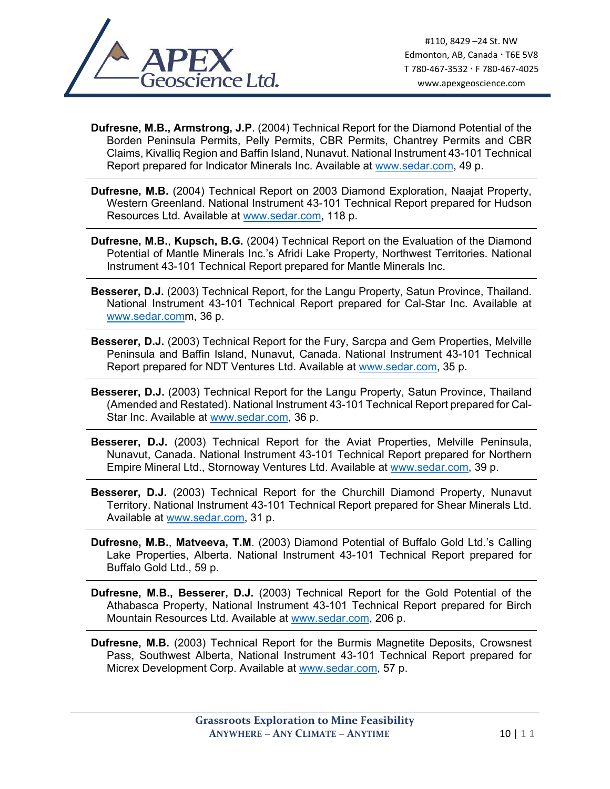

- **Dufresne, M.B., Armstrong, J.P**. (2004) Technical Report for the Diamond Potential of the Borden Peninsula Permits, Pelly Permits, CBR Permits, Chantrey Permits and CBR Claims, Kivalliq Region and Baffin Island, Nunavut. National Instrument 43-101 Technical Report prepared for Indicator Minerals Inc. Available at www.sedar.com, 49 p.
- **Dufresne, M.B.** (2004) Technical Report on 2003 Diamond Exploration, Naajat Property, Western Greenland. National Instrument 43-101 Technical Report prepared for Hudson Resources Ltd. Available at www.sedar.com, 118 p.
- **Dufresne, M.B.**, **Kupsch, B.G.** (2004) Technical Report on the Evaluation of the Diamond Potential of Mantle Minerals Inc.'s Afridi Lake Property, Northwest Territories. National Instrument 43-101 Technical Report prepared for Mantle Minerals Inc.
- **Besserer, D.J.** (2003) Technical Report, for the Langu Property, Satun Province, Thailand. National Instrument 43-101 Technical Report prepared for Cal-Star Inc. Available at www.sedar.comm, 36 p.
- **Besserer, D.J.** (2003) Technical Report for the Fury, Sarcpa and Gem Properties, Melville Peninsula and Baffin Island, Nunavut, Canada. National Instrument 43-101 Technical Report prepared for NDT Ventures Ltd. Available at www.sedar.com, 35 p.
- **Besserer, D.J.** (2003) Technical Report for the Langu Property, Satun Province, Thailand (Amended and Restated). National Instrument 43-101 Technical Report prepared for Cal-Star Inc. Available at www.sedar.com, 36 p.
- **Besserer, D.J.** (2003) Technical Report for the Aviat Properties, Melville Peninsula, Nunavut, Canada. National Instrument 43-101 Technical Report prepared for Northern Empire Mineral Ltd., Stornoway Ventures Ltd. Available at www.sedar.com, 39 p.
- **Besserer, D.J.** (2003) Technical Report for the Churchill Diamond Property, Nunavut Territory. National Instrument 43-101 Technical Report prepared for Shear Minerals Ltd. Available at www.sedar.com, 31 p.
- **Dufresne, M.B.**, **Matveeva, T.M**. (2003) Diamond Potential of Buffalo Gold Ltd.'s Calling Lake Properties, Alberta. National Instrument 43-101 Technical Report prepared for Buffalo Gold Ltd., 59 p.
- **Dufresne, M.B., Besserer, D.J.** (2003) Technical Report for the Gold Potential of the Athabasca Property, National Instrument 43-101 Technical Report prepared for Birch Mountain Resources Ltd. Available at www.sedar.com, 206 p.
- **Dufresne, M.B.** (2003) Technical Report for the Burmis Magnetite Deposits, Crowsnest Pass, Southwest Alberta, National Instrument 43-101 Technical Report prepared for Micrex Development Corp. Available at www.sedar.com, 57 p.